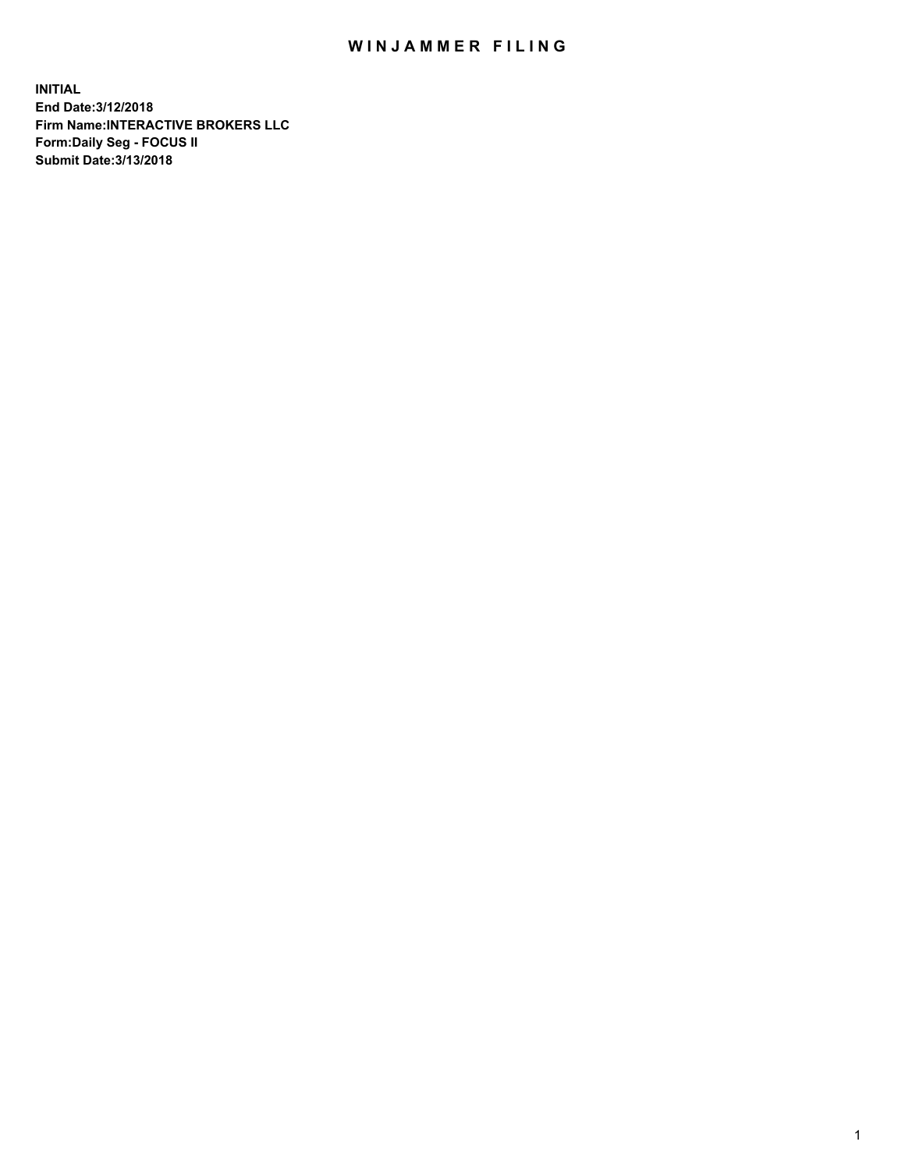## WIN JAMMER FILING

**INITIAL End Date:3/12/2018 Firm Name:INTERACTIVE BROKERS LLC Form:Daily Seg - FOCUS II Submit Date:3/13/2018**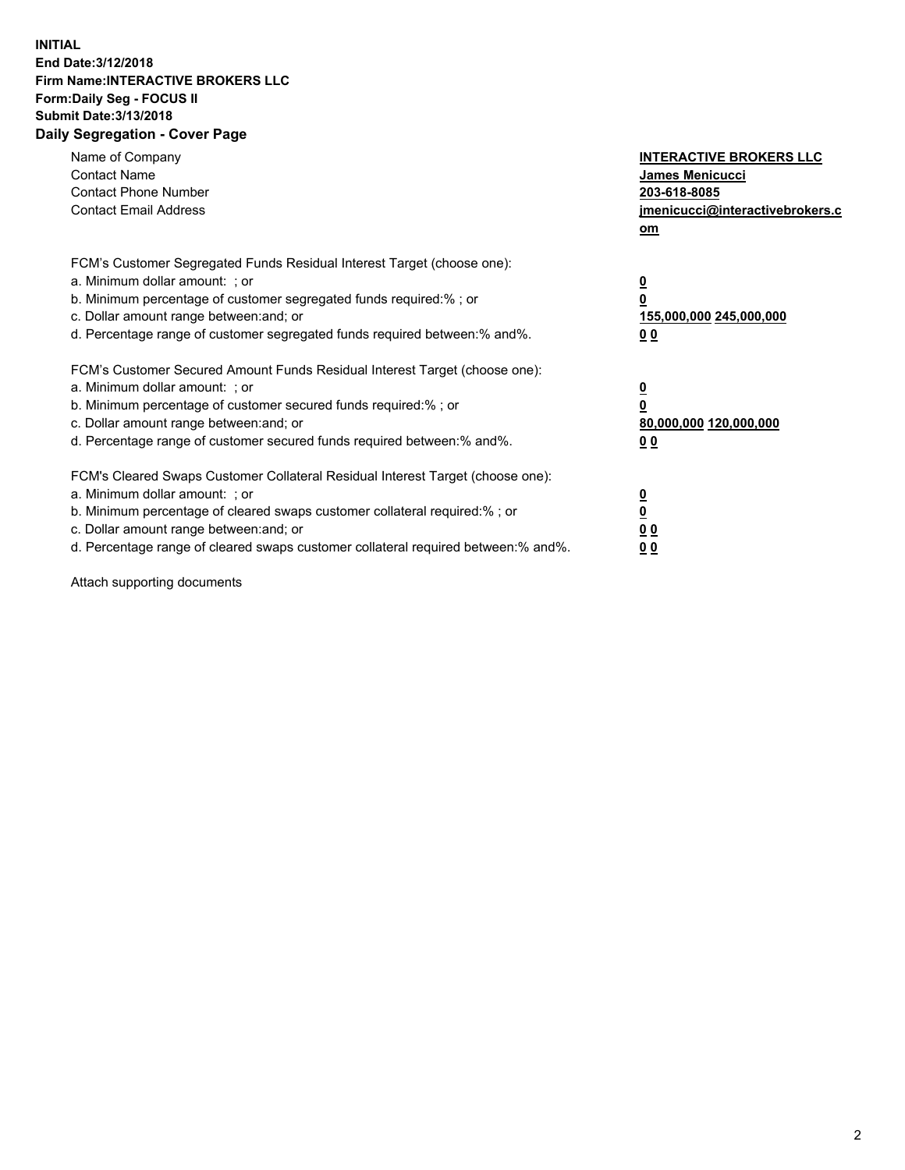## **INITIAL End Date:3/12/2018 Firm Name:INTERACTIVE BROKERS LLC Form:Daily Seg - FOCUS II Submit Date:3/13/2018 Daily Segregation - Cover Page**

| Name of Company<br><b>Contact Name</b><br><b>Contact Phone Number</b>                                                                                                                                                                                                                                                          | <b>INTERACTIVE BROKERS LLC</b><br><b>James Menicucci</b><br>203-618-8085                        |
|--------------------------------------------------------------------------------------------------------------------------------------------------------------------------------------------------------------------------------------------------------------------------------------------------------------------------------|-------------------------------------------------------------------------------------------------|
| <b>Contact Email Address</b>                                                                                                                                                                                                                                                                                                   | jmenicucci@interactivebrokers.c<br>om                                                           |
| FCM's Customer Segregated Funds Residual Interest Target (choose one):<br>a. Minimum dollar amount: ; or<br>b. Minimum percentage of customer segregated funds required:% ; or<br>c. Dollar amount range between: and; or<br>d. Percentage range of customer segregated funds required between:% and%.                         | $\overline{\mathbf{0}}$<br>$\overline{\mathbf{0}}$<br>155,000,000 245,000,000<br>0 <sub>0</sub> |
| FCM's Customer Secured Amount Funds Residual Interest Target (choose one):<br>a. Minimum dollar amount: ; or<br>b. Minimum percentage of customer secured funds required:%; or<br>c. Dollar amount range between: and; or<br>d. Percentage range of customer secured funds required between: % and %.                          | $\overline{\mathbf{0}}$<br>$\overline{\mathbf{0}}$<br>80,000,000 120,000,000<br>0 <sub>0</sub>  |
| FCM's Cleared Swaps Customer Collateral Residual Interest Target (choose one):<br>a. Minimum dollar amount: ; or<br>b. Minimum percentage of cleared swaps customer collateral required:% ; or<br>c. Dollar amount range between: and; or<br>d. Percentage range of cleared swaps customer collateral required between:% and%. | $\overline{\mathbf{0}}$<br>$\underline{\mathbf{0}}$<br>0 <sub>0</sub><br>0 <sup>0</sup>         |

Attach supporting documents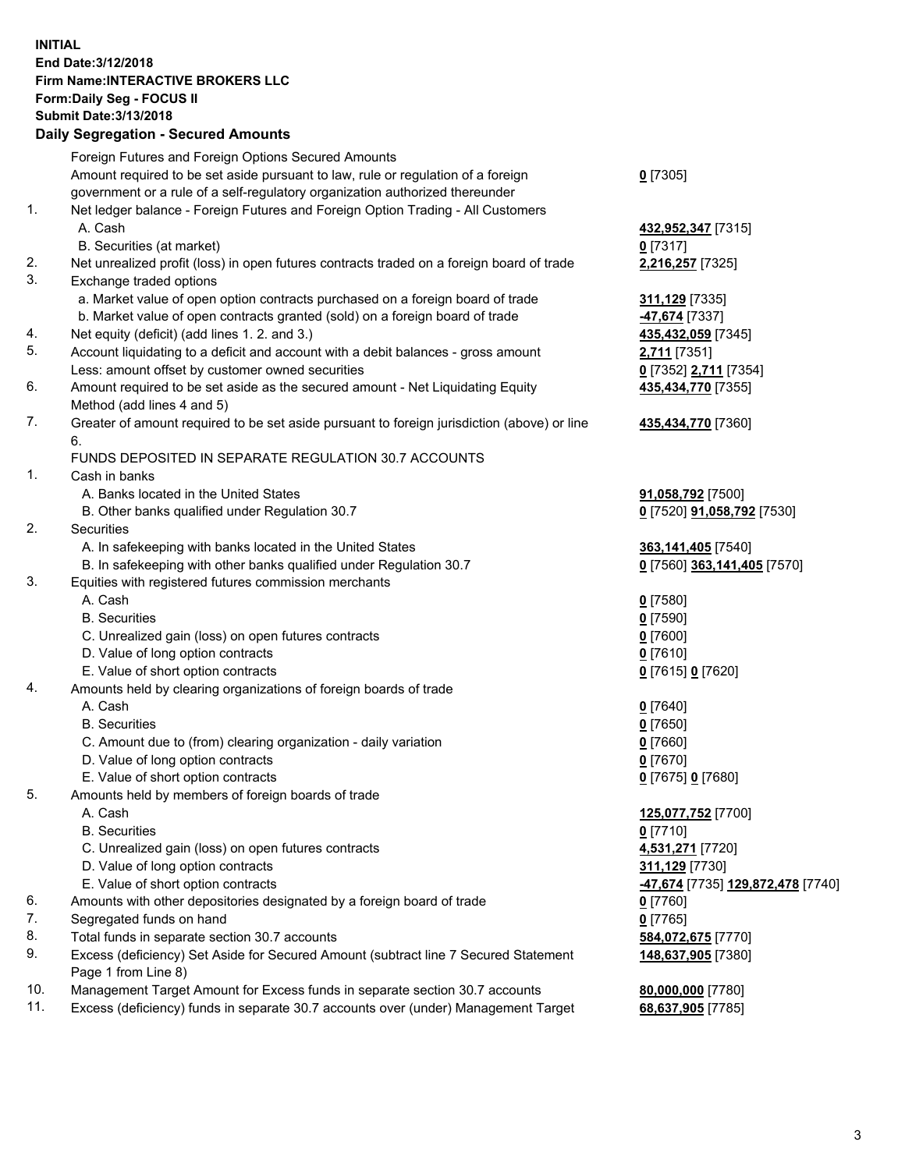## **INITIAL End Date:3/12/2018 Firm Name:INTERACTIVE BROKERS LLC Form:Daily Seg - FOCUS II Submit Date:3/13/2018 Daily Segregation - Secured Amounts**

|     | Daily Segregation - Secured Amounts                                                                        |                                                       |
|-----|------------------------------------------------------------------------------------------------------------|-------------------------------------------------------|
|     | Foreign Futures and Foreign Options Secured Amounts                                                        |                                                       |
|     | Amount required to be set aside pursuant to law, rule or regulation of a foreign                           | $0$ [7305]                                            |
|     | government or a rule of a self-regulatory organization authorized thereunder                               |                                                       |
| 1.  | Net ledger balance - Foreign Futures and Foreign Option Trading - All Customers                            |                                                       |
|     | A. Cash                                                                                                    | 432,952,347 [7315]                                    |
|     | B. Securities (at market)                                                                                  | $0$ [7317]                                            |
| 2.  | Net unrealized profit (loss) in open futures contracts traded on a foreign board of trade                  | 2,216,257 [7325]                                      |
| 3.  | Exchange traded options                                                                                    |                                                       |
|     | a. Market value of open option contracts purchased on a foreign board of trade                             | 311,129 [7335]                                        |
|     | b. Market value of open contracts granted (sold) on a foreign board of trade                               | -47,674 [7337]                                        |
| 4.  | Net equity (deficit) (add lines 1.2. and 3.)                                                               | 435,432,059 [7345]                                    |
| 5.  | Account liquidating to a deficit and account with a debit balances - gross amount                          | 2,711 [7351]                                          |
|     | Less: amount offset by customer owned securities                                                           | 0 [7352] 2,711 [7354]                                 |
| 6.  | Amount required to be set aside as the secured amount - Net Liquidating Equity                             | 435,434,770 [7355]                                    |
|     | Method (add lines 4 and 5)                                                                                 |                                                       |
| 7.  | Greater of amount required to be set aside pursuant to foreign jurisdiction (above) or line                | 435,434,770 [7360]                                    |
|     | 6.                                                                                                         |                                                       |
|     | FUNDS DEPOSITED IN SEPARATE REGULATION 30.7 ACCOUNTS                                                       |                                                       |
| 1.  | Cash in banks                                                                                              |                                                       |
|     | A. Banks located in the United States                                                                      | 91,058,792 [7500]                                     |
|     | B. Other banks qualified under Regulation 30.7                                                             | 0 [7520] 91,058,792 [7530]                            |
| 2.  | Securities                                                                                                 |                                                       |
|     | A. In safekeeping with banks located in the United States                                                  | 363,141,405 [7540]                                    |
|     | B. In safekeeping with other banks qualified under Regulation 30.7                                         | 0 [7560] 363,141,405 [7570]                           |
| 3.  | Equities with registered futures commission merchants                                                      |                                                       |
|     | A. Cash                                                                                                    | $0$ [7580]                                            |
|     | <b>B.</b> Securities                                                                                       | $0$ [7590]                                            |
|     | C. Unrealized gain (loss) on open futures contracts                                                        | $0$ [7600]                                            |
|     | D. Value of long option contracts                                                                          | $0$ [7610]                                            |
|     | E. Value of short option contracts                                                                         | 0 [7615] 0 [7620]                                     |
| 4.  | Amounts held by clearing organizations of foreign boards of trade                                          |                                                       |
|     | A. Cash                                                                                                    | $0$ [7640]                                            |
|     | <b>B.</b> Securities                                                                                       | $0$ [7650]                                            |
|     | C. Amount due to (from) clearing organization - daily variation                                            | $0$ [7660]                                            |
|     | D. Value of long option contracts                                                                          | $0$ [7670]                                            |
|     | E. Value of short option contracts                                                                         | 0 [7675] 0 [7680]                                     |
| 5.  | Amounts held by members of foreign boards of trade                                                         |                                                       |
|     | A. Cash                                                                                                    | 125,077,752 [7700]                                    |
|     | <b>B.</b> Securities                                                                                       | $0$ [7710]                                            |
|     | C. Unrealized gain (loss) on open futures contracts                                                        | 4,531,271 [7720]                                      |
|     | D. Value of long option contracts                                                                          | 311,129 [7730]                                        |
|     | E. Value of short option contracts                                                                         | <mark>-47,674</mark> [7735] <u>129,872,478</u> [7740] |
| 6.  | Amounts with other depositories designated by a foreign board of trade                                     | 0 [7760]                                              |
| 7.  | Segregated funds on hand                                                                                   | $0$ [7765]                                            |
| 8.  | Total funds in separate section 30.7 accounts                                                              | 584,072,675 [7770]                                    |
| 9.  | Excess (deficiency) Set Aside for Secured Amount (subtract line 7 Secured Statement<br>Page 1 from Line 8) | 148,637,905 [7380]                                    |
| 10. | Management Target Amount for Excess funds in separate section 30.7 accounts                                | 80,000,000 [7780]                                     |
| 11. | Excess (deficiency) funds in separate 30.7 accounts over (under) Management Target                         | 68,637,905 [7785]                                     |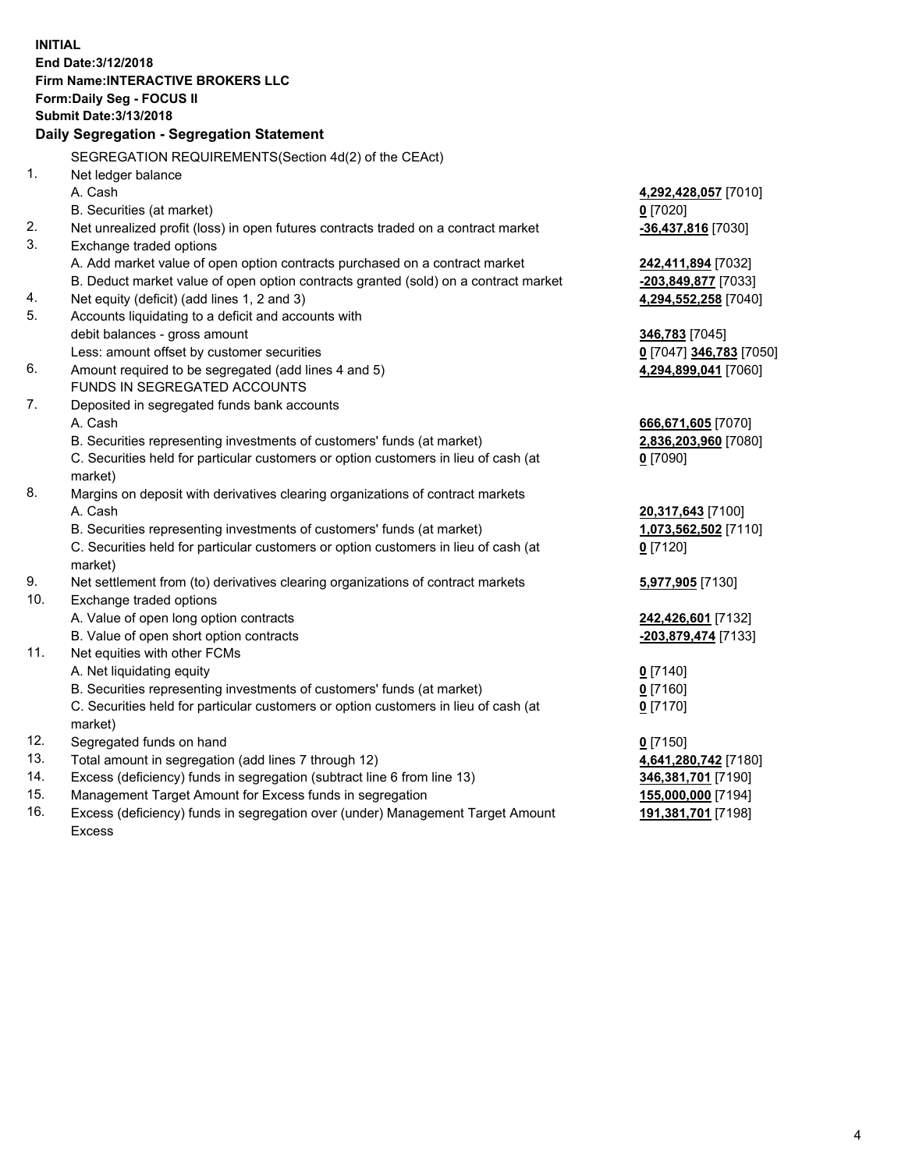**INITIAL End Date:3/12/2018 Firm Name:INTERACTIVE BROKERS LLC Form:Daily Seg - FOCUS II Submit Date:3/13/2018 Daily Segregation - Segregation Statement** SEGREGATION REQUIREMENTS(Section 4d(2) of the CEAct) 1. Net ledger balance A. Cash **4,292,428,057** [7010] B. Securities (at market) **0** [7020] 2. Net unrealized profit (loss) in open futures contracts traded on a contract market **-36,437,816** [7030] 3. Exchange traded options A. Add market value of open option contracts purchased on a contract market **242,411,894** [7032] B. Deduct market value of open option contracts granted (sold) on a contract market **-203,849,877** [7033] 4. Net equity (deficit) (add lines 1, 2 and 3) **4,294,552,258** [7040] 5. Accounts liquidating to a deficit and accounts with debit balances - gross amount **346,783** [7045] Less: amount offset by customer securities **0** [7047] **346,783** [7050] 6. Amount required to be segregated (add lines 4 and 5) **4,294,899,041** [7060] FUNDS IN SEGREGATED ACCOUNTS 7. Deposited in segregated funds bank accounts A. Cash **666,671,605** [7070] B. Securities representing investments of customers' funds (at market) **2,836,203,960** [7080] C. Securities held for particular customers or option customers in lieu of cash (at market) **0** [7090] 8. Margins on deposit with derivatives clearing organizations of contract markets A. Cash **20,317,643** [7100] B. Securities representing investments of customers' funds (at market) **1,073,562,502** [7110] C. Securities held for particular customers or option customers in lieu of cash (at market) **0** [7120] 9. Net settlement from (to) derivatives clearing organizations of contract markets **5,977,905** [7130] 10. Exchange traded options A. Value of open long option contracts **242,426,601** [7132] B. Value of open short option contracts **-203,879,474** [7133] 11. Net equities with other FCMs A. Net liquidating equity **0** [7140] B. Securities representing investments of customers' funds (at market) **0** [7160] C. Securities held for particular customers or option customers in lieu of cash (at market) **0** [7170] 12. Segregated funds on hand **0** [7150] 13. Total amount in segregation (add lines 7 through 12) **4,641,280,742** [7180] 14. Excess (deficiency) funds in segregation (subtract line 6 from line 13) **346,381,701** [7190] 15. Management Target Amount for Excess funds in segregation **155,000,000** [7194]

16. Excess (deficiency) funds in segregation over (under) Management Target Amount Excess

**191,381,701** [7198]